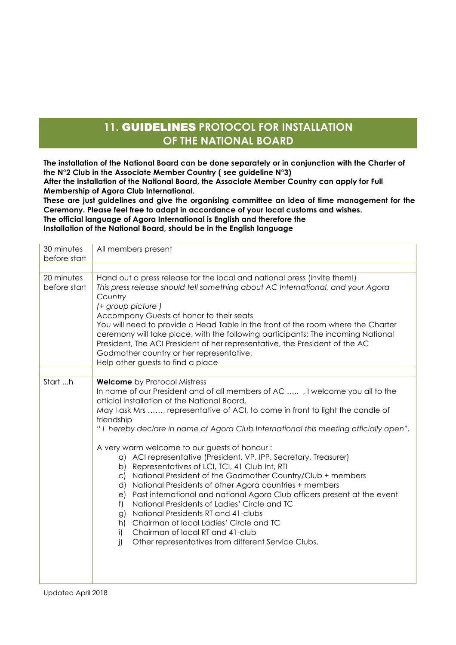## **11.** GUIDELINES **PROTOCOL FOR INSTALLATION OF THE NATIONAL BOARD**

**The installation of the National Board can be done separately or in conjunction with the Charter of the N°2 Club in the Associate Member Country ( see guideline N°3) After the installation of the National Board, the Associate Member Country can apply for Full** 

**Membership of Agora Club International.**

**These are just guidelines and give the organising committee an idea of time management for the Ceremony. Please feel free to adapt in accordance of your local customs and wishes. The official language of Agora International is English and therefore the** 

**Installation of the National Board, should be in the English language**

| 30 minutes<br>before start | All members present                                                                                                                                                                                                                                                                                                                                                                                                                                                                                                                                                                                                                                                                                                                                                                                                                                                                                                                                                                                                     |
|----------------------------|-------------------------------------------------------------------------------------------------------------------------------------------------------------------------------------------------------------------------------------------------------------------------------------------------------------------------------------------------------------------------------------------------------------------------------------------------------------------------------------------------------------------------------------------------------------------------------------------------------------------------------------------------------------------------------------------------------------------------------------------------------------------------------------------------------------------------------------------------------------------------------------------------------------------------------------------------------------------------------------------------------------------------|
|                            |                                                                                                                                                                                                                                                                                                                                                                                                                                                                                                                                                                                                                                                                                                                                                                                                                                                                                                                                                                                                                         |
| 20 minutes<br>before start | Hand out a press release for the local and national press (invite them!)<br>This press release should tell something about AC International, and your Agora<br>Country<br>(+ group picture)<br>Accompany Guests of honor to their seats<br>You will need to provide a Head Table in the front of the room where the Charter<br>ceremony will take place, with the following participants: The incoming National<br>President, The ACI President of her representative, the President of the AC<br>Godmother country or her representative.<br>Help other guests to find a place                                                                                                                                                                                                                                                                                                                                                                                                                                         |
|                            |                                                                                                                                                                                                                                                                                                                                                                                                                                                                                                                                                                                                                                                                                                                                                                                                                                                                                                                                                                                                                         |
| Start h                    | <b>Welcome</b> by Protocol Mistress<br>In name of our President and of all members of AC , I welcome you all to the<br>official installation of the National Board.<br>May I ask Mrs , representative of ACI, to come in front to light the candle of<br>friendship<br>"I hereby declare in name of Agora Club International this meeting officially open".<br>A very warm welcome to our guests of honour:<br>a) ACI representative (President, VP, IPP, Secretary, Treasurer)<br>b) Representatives of LCI, TCI, 41 Club Int, RTI<br>National President of the Godmother Country/Club + members<br>$\subset$<br>National Presidents of other Agora countries + members<br>d)<br>Past international and national Agora Club officers present at the event<br>e)<br>National Presidents of Ladies' Circle and TC<br>f<br>National Presidents RT and 41-clubs<br>g)<br>h) Chairman of local Ladies' Circle and TC<br>Chairman of local RT and 41-club<br>i)<br>i)<br>Other representatives from different Service Clubs. |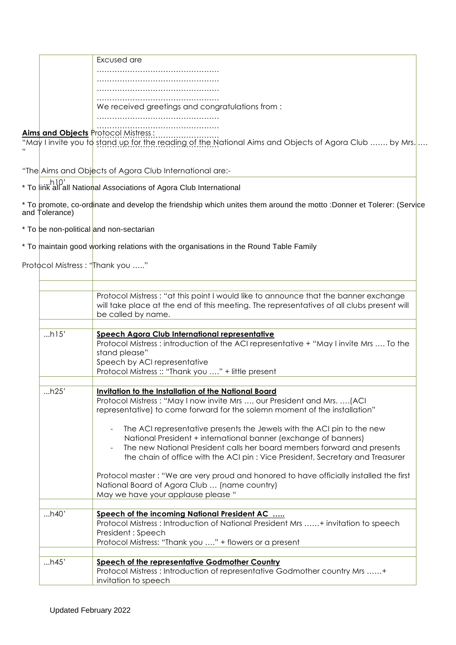| Excused are                                     |
|-------------------------------------------------|
|                                                 |
|                                                 |
|                                                 |
| We received greetings and congratulations from: |
|                                                 |

## …………………………………………… ………………………………………… **Aims and Objects** Protocol Mistress :

stand up for the reading of the N "May I invite you to stand up for the reading of the National Aims and Objects of Agora Club ……. by Mrs. …. "

"The Aims and Objects of Agora Club International are:-

...h10' \* To link all all National Associations of Agora Club International

and develop the friendship which unites them around the motto :Donner et Tolerer: (Service and Tolerance) \* To promote, co-ordinate

\* To be non-political and non-sectarian

\* To maintain good working relations with the organisations in the Round Table Family

Protocol Mistress : "Thank you ....."

|      | Protocol Mistress: "at this point I would like to announce that the banner exchange<br>will take place at the end of this meeting. The representatives of all clubs present will<br>be called by name.                                        |
|------|-----------------------------------------------------------------------------------------------------------------------------------------------------------------------------------------------------------------------------------------------|
|      |                                                                                                                                                                                                                                               |
| h15' | Speech Agora Club International representative<br>Protocol Mistress : introduction of the ACI representative + "May I invite Mrs  To the<br>stand please"<br>Speech by ACI representative<br>Protocol Mistress: "Thank you " + little present |
| h25' | Invitation to the Installation of the National Board                                                                                                                                                                                          |
|      | Protocol Mistress: "May I now invite Mrs , our President and Mrs.  (ACI<br>representative) to come forward for the solemn moment of the installation"<br>The ACI representative presents the Jewels with the ACI pin to the new               |
|      | National President + international banner (exchange of banners)<br>The new National President calls her board members forward and presents<br>the chain of office with the ACI pin: Vice President, Secretary and Treasurer                   |
|      | Protocol master: "We are very proud and honored to have officially installed the first<br>National Board of Agora Club  (name country)<br>May we have your applause please "                                                                  |
|      |                                                                                                                                                                                                                                               |
| h40' | Speech of the incoming National President AC<br>Protocol Mistress: Introduction of National President Mrs + invitation to speech<br>President: Speech<br>Protocol Mistress: "Thank you " + flowers or a present                               |
|      |                                                                                                                                                                                                                                               |
| h45' | <b>Speech of the representative Godmother Country</b><br>Protocol Mistress: Introduction of representative Godmother country Mrs +<br>invitation to speech                                                                                    |